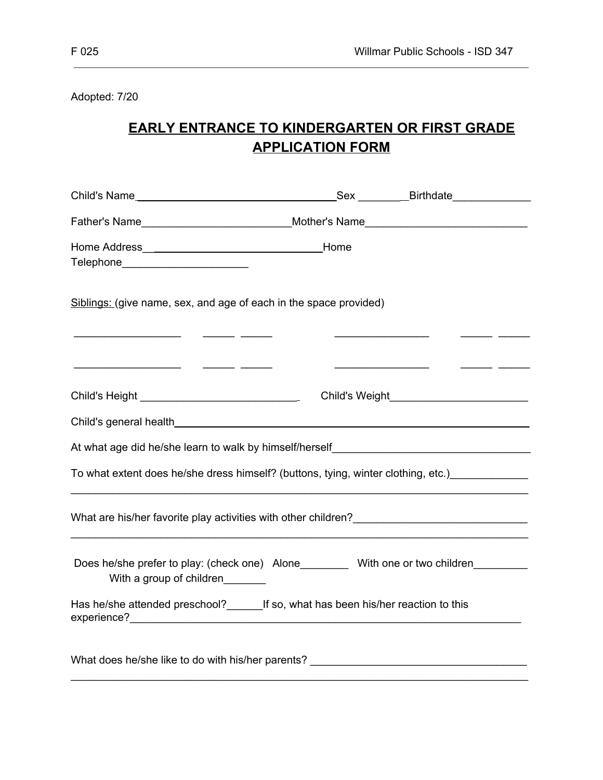Adopted: 7/20

## **EARLY ENTRANCE TO KINDERGARTEN OR FIRST GRADE APPLICATION FORM**

| Father's Name___________________________________Mother's Name____________________                                                                                                                                                                                                                         |                                                                                                                                                                                                                                      |               |
|-----------------------------------------------------------------------------------------------------------------------------------------------------------------------------------------------------------------------------------------------------------------------------------------------------------|--------------------------------------------------------------------------------------------------------------------------------------------------------------------------------------------------------------------------------------|---------------|
| Telephone_________________________                                                                                                                                                                                                                                                                        |                                                                                                                                                                                                                                      |               |
| Siblings: (give name, sex, and age of each in the space provided)<br><u> 1950 - Johann John Harry Harry Harry Harry Harry Harry Harry Harry Harry Harry Harry Harry Harry Harry Harry Harry Harry Harry Harry Harry Harry Harry Harry Harry Harry Harry Harry Harry Harry Harry Harry Harry Harry Har</u> |                                                                                                                                                                                                                                      |               |
|                                                                                                                                                                                                                                                                                                           | <u> 1960 - Johann John Stoff, deutscher Stoffen und der Stoffen und der Stoffen und der Stoffen und der Stoffen und der Stoffen und der Stoffen und der Stoffen und der Stoffen und der Stoffen und der Stoffen und der Stoffen </u> | $\frac{1}{1}$ |
|                                                                                                                                                                                                                                                                                                           |                                                                                                                                                                                                                                      |               |
|                                                                                                                                                                                                                                                                                                           |                                                                                                                                                                                                                                      |               |
|                                                                                                                                                                                                                                                                                                           |                                                                                                                                                                                                                                      |               |
| To what extent does he/she dress himself? (buttons, tying, winter clothing, etc.) ____________                                                                                                                                                                                                            |                                                                                                                                                                                                                                      |               |
|                                                                                                                                                                                                                                                                                                           |                                                                                                                                                                                                                                      |               |
| Does he/she prefer to play: (check one) Alone__________ With one or two children________<br>With a group of children                                                                                                                                                                                      |                                                                                                                                                                                                                                      |               |
| Has he/she attended preschool?___________If so, what has been his/her reaction to this                                                                                                                                                                                                                    |                                                                                                                                                                                                                                      |               |
| What does he/she like to do with his/her parents? _______________________________                                                                                                                                                                                                                         |                                                                                                                                                                                                                                      |               |